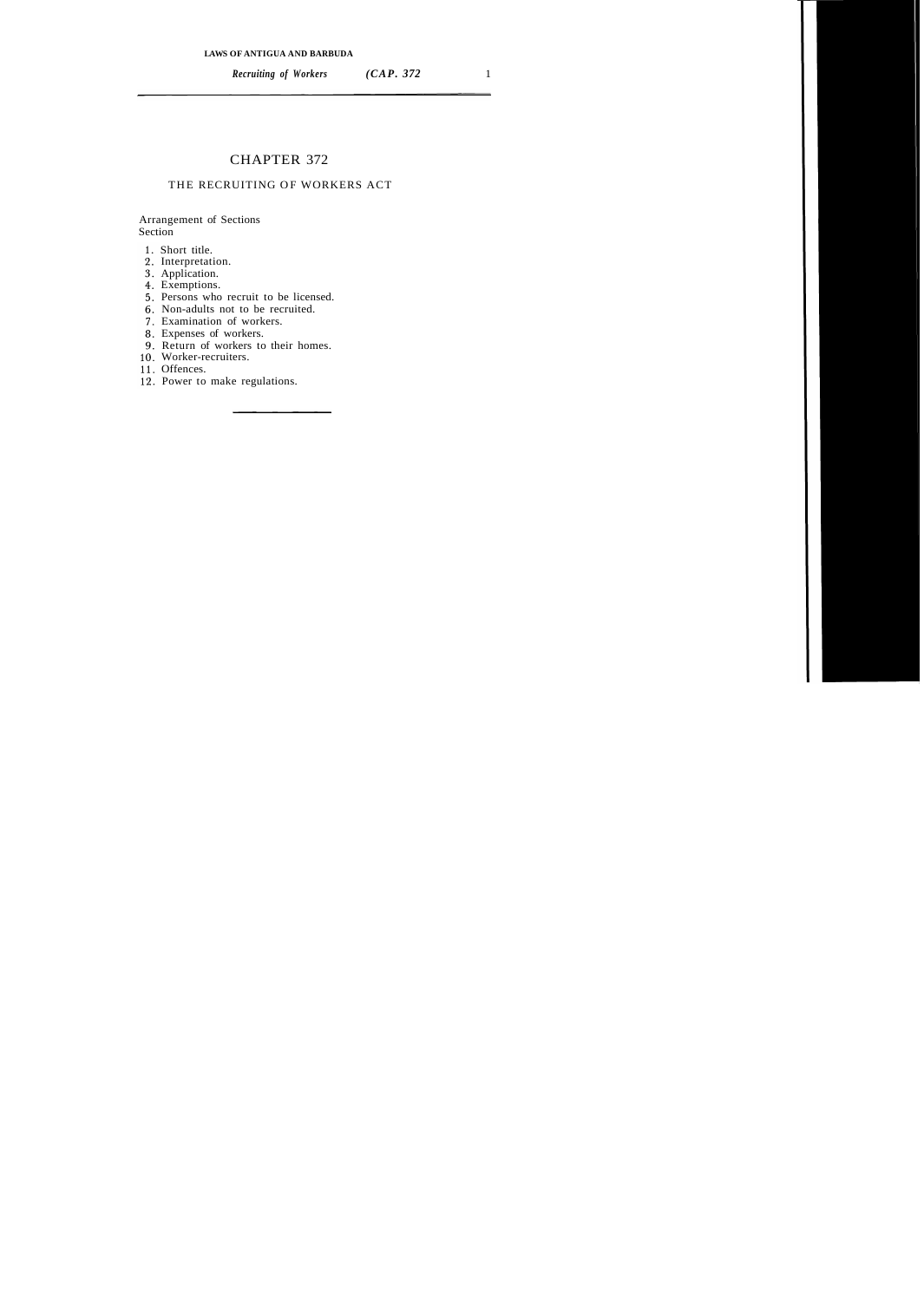# CHAPTER 372

### THE RECRUITING OF WORKERS ACT

#### Arrangement of Sections Section

- 1. Short title.
- 2. Interpretation.
- 3. Application.
- Exemptions.
- 5. Persons who recruit to be licensed.
- Non-adults not to be recruited.
- Examination of workers.
- Expenses of workers.
- 9. Return of workers to their homes.
- 10. Worker-recruiters.
- 11. Offences.
- 12. Power to make regulations.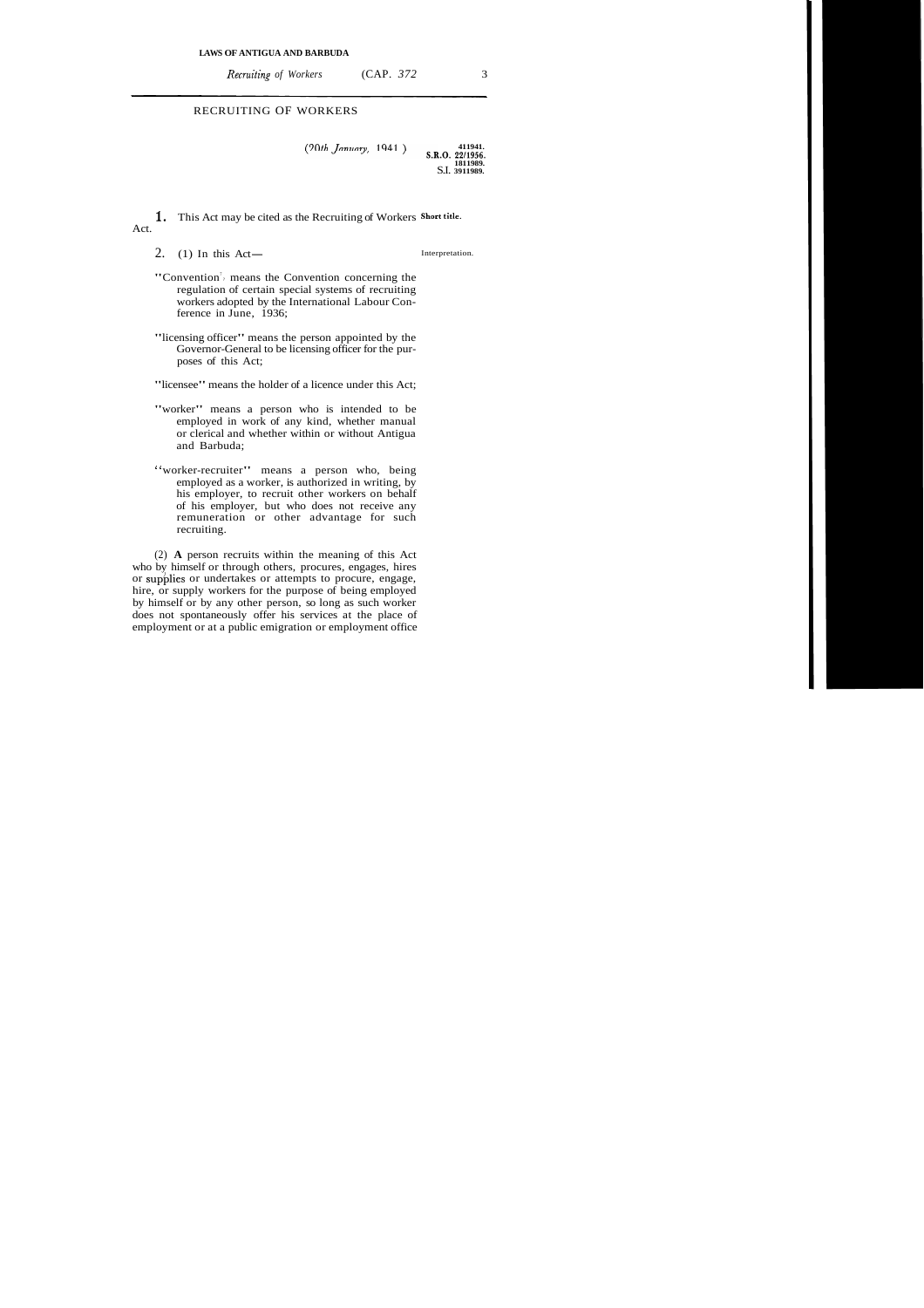*Recruiting of Workers* (CAP. 372 3)

## RECRUITING OF WORKERS

 $(20th$  *January*, 1941.) S.R.O. 22/1956. **1811989.**  S.I. **3911989.** 

**1.** This Act may be cited as the Recruiting of Workers short title. Act.

2. (1) In this Act—

Interpretation.

- "Convention<sup>7</sup>, means the Convention concerning the regulation of certain special systems of recruiting workers adopted by the International Labour Conference in June, 1936;
- "licensing officer" means the person appointed by the Governor-General to be licensing officer for the purposes of this Act;

"licensee" means the holder of a licence under this Act;

- "worker" means a person who is intended to be employed in work of any kind, whether manual or clerical and whether within or without Antigua and Barbuda;
- "worker-recruiter" means a person who, being employed as a worker, is authorized in writing, by his employer, to recruit other workers on behalf of his employer, but who does not receive any remuneration or other advantage for such recruiting.

(2) **A** person recruits within the meaning of this Act who by himself or through others, procures, engages, hires or supblies or undertakes or attempts to procure, engage, hire, or supply workers for the purpose of being employed by himself or by any other person, so long as such worker does not spontaneously offer his services at the place of employment or at a public emigration or employment office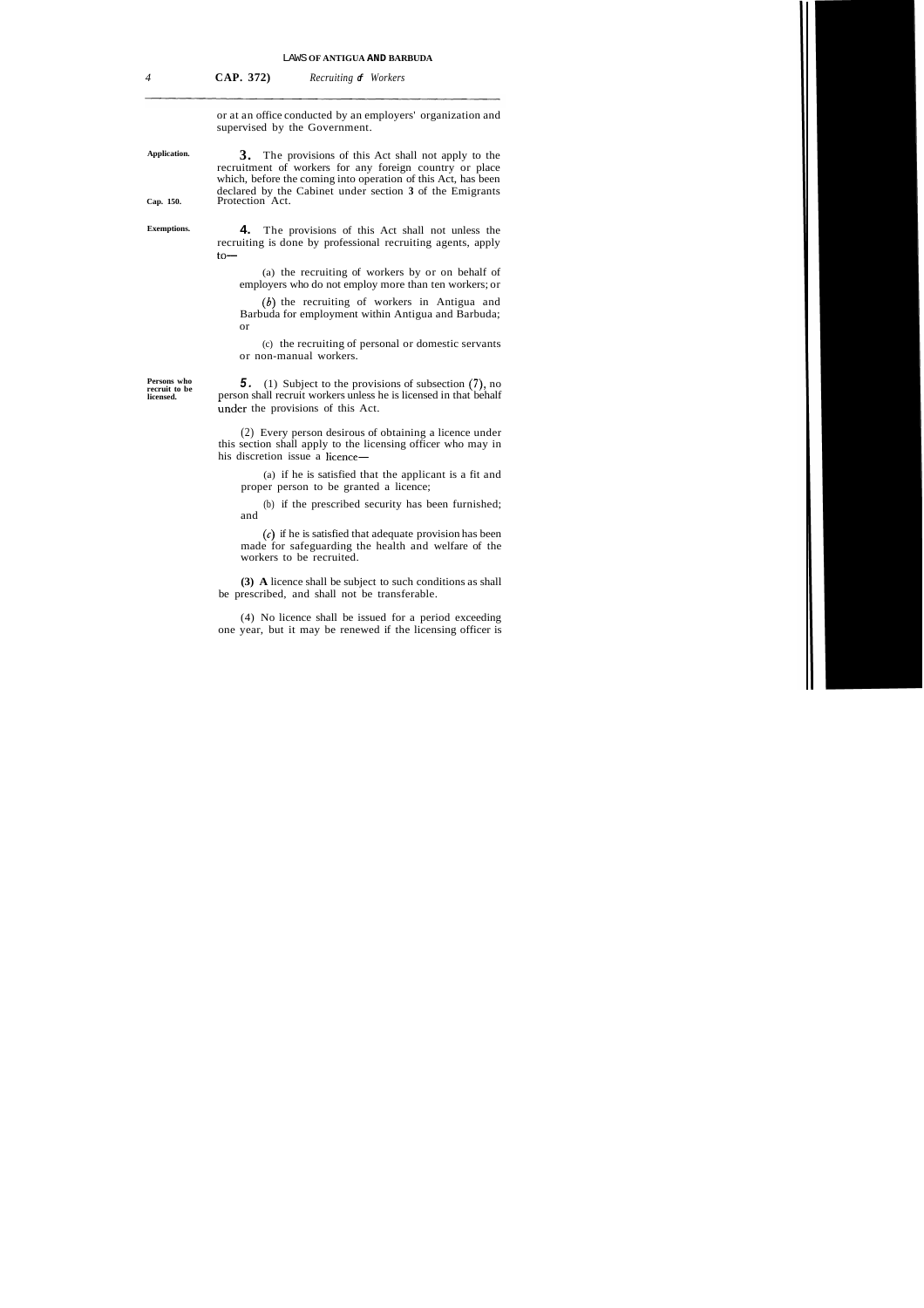*4* **CAP. 372)** *Recruiting* **of** *Workers* 

or at an office conducted by an employers' organization and supervised by the Government.

**Application. 3.** The provisions of this Act shall not apply to the recruitment of workers for any foreign country or place which, before the coming into operation of this Act, has been declared by the Cabinet under section **3** of the Emigrants **Cap. 150.** Protection Act.

**Exemptions. 4.** The provisions of this Act shall not unless the recruiting is done by professional recruiting agents, apply  $to-$ 

> (a) the recruiting of workers by or on behalf of employers who do not employ more than ten workers; or

> **(6)** the recruiting of workers in Antigua and Barbuda for employment within Antigua and Barbuda; or

> (c) the recruiting of personal or domestic servants or non-manual workers.

**Persons who** 

**Persons who <b>5.** (1) Subject to the provisions of subsection (7), no recruit workers unless he is licensed in that behalf licensed. **licensed.** person shall recruit workers unless he is licensed in that behalf under the provisions of this Act.

> (2) Every person desirous of obtaining a licence under this section shall apply to the licensing officer who may in his discretion issue a licence-

(a) if he is satisfied that the applicant is a fit and proper person to be granted a licence;

(b) if the prescribed security has been furnished; and

*(6)* if he is satisfied that adequate provision has been made for safeguarding the health and welfare of the workers to be recruited.

**(3) A** licence shall be subject to such conditions as shall be prescribed, and shall not be transferable.

(4) No licence shall be issued for a period exceeding one year, but it may be renewed if the licensing officer is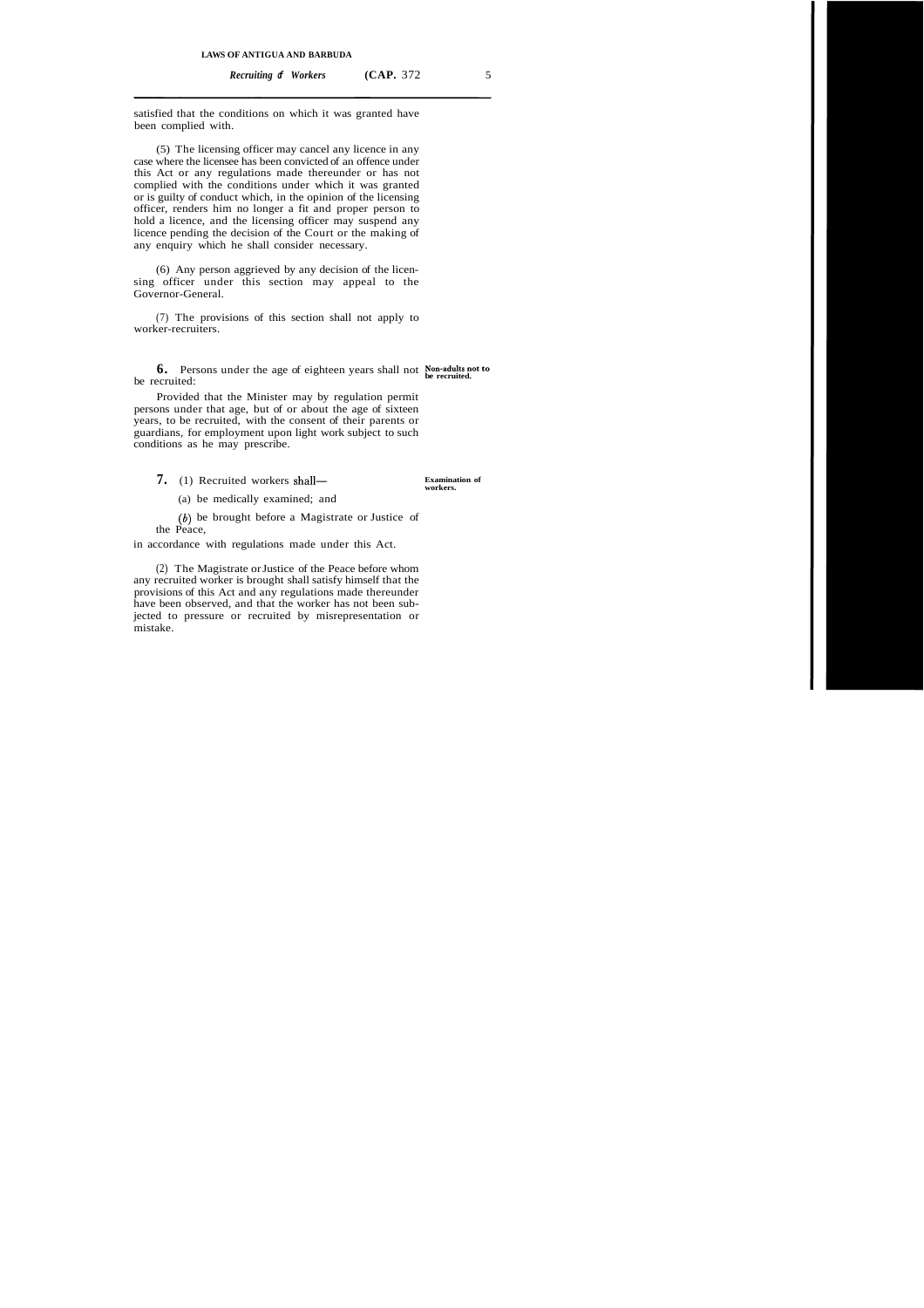satisfied that the conditions on which it was granted have been complied with.

(5) The licensing officer may cancel any licence in any case where the licensee has been convicted of an offence under this Act or any regulations made thereunder or has not complied with the conditions under which it was granted or is guilty of conduct which, in the opinion of the licensing officer, renders him no longer a fit and proper person to hold a licence, and the licensing officer may suspend any licence pending the decision of the Court or the making of any enquiry which he shall consider necessary.

(6) Any person aggrieved by any decision of the licensing officer under this section may appeal to the Governor-General.

(7) The provisions of this section shall not apply to worker-recruiters.

**6.** Persons under the age of eighteen years shall not **Non-adults not to be recruited.** be recruited:

Provided that the Minister may by regulation permit persons under that age, but of or about the age of sixteen years, to be recruited, with the consent of their parents or guardians, for employment upon light work subject to such conditions as he may prescribe.

7. (1) Recruited workers shall-

(a) be medically examined; and

 $(b)$  be brought before a Magistrate or Justice of the Peace,

in accordance with regulations made under this Act.

(2) The Magistrate or Justice of the Peace before whom any recruited worker is brought shall satisfy himself that the provisions of this Act and any regulations made thereunder have been observed, and that the worker has not been subjected to pressure or recruited by misrepresentation or mistake.

**Examination of workers.**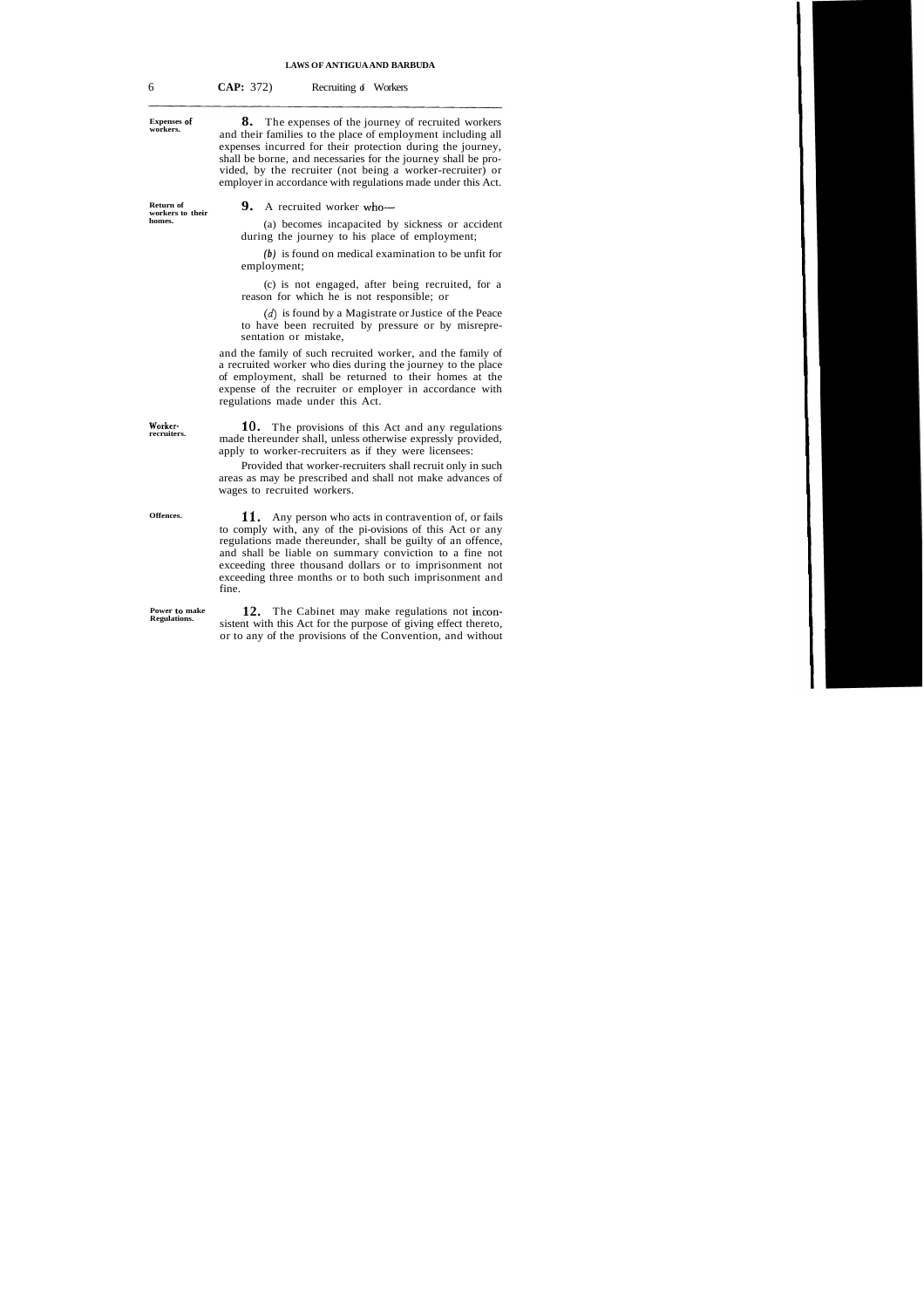## **LAWS OF ANTIGUA AND BARBUDA**

| 6                                       | CAP: 372)<br>Recruiting of Workers                                                                                                                                                                                                                                                                                                                                                |
|-----------------------------------------|-----------------------------------------------------------------------------------------------------------------------------------------------------------------------------------------------------------------------------------------------------------------------------------------------------------------------------------------------------------------------------------|
| <b>Expenses of</b><br>workers.          | 8.<br>The expenses of the journey of recruited workers<br>and their families to the place of employment including all<br>expenses incurred for their protection during the journey,<br>shall be borne, and necessaries for the journey shall be pro-<br>vided, by the recruiter (not being a worker-recruiter) or<br>employer in accordance with regulations made under this Act. |
| Return of<br>workers to their<br>homes. | 9.<br>A recruited worker who-                                                                                                                                                                                                                                                                                                                                                     |
|                                         | (a) becomes incapacited by sickness or accident<br>during the journey to his place of employment;                                                                                                                                                                                                                                                                                 |
|                                         | $(b)$ is found on medical examination to be unfit for<br>employment;                                                                                                                                                                                                                                                                                                              |
|                                         | (c) is not engaged, after being recruited, for a<br>reason for which he is not responsible; or                                                                                                                                                                                                                                                                                    |
|                                         | $(d)$ is found by a Magistrate or Justice of the Peace<br>to have been recruited by pressure or by misrepre-<br>sentation or mistake,                                                                                                                                                                                                                                             |
|                                         | and the family of such recruited worker, and the family of<br>a recruited worker who dies during the journey to the place<br>of employment, shall be returned to their homes at the<br>expense of the recruiter or employer in accordance with<br>regulations made under this Act.                                                                                                |
| Worker-<br>recruiters.                  | 10.<br>The provisions of this Act and any regulations<br>made thereunder shall, unless otherwise expressly provided,<br>apply to worker-recruiters as if they were licensees:                                                                                                                                                                                                     |
|                                         | Provided that worker-recruiters shall recruit only in such<br>areas as may be prescribed and shall not make advances of<br>wages to recruited workers.                                                                                                                                                                                                                            |
| Offences.                               | 11.<br>Any person who acts in contravention of, or fails<br>to comply with, any of the pi-ovisions of this Act or any<br>regulations made thereunder, shall be guilty of an offence,<br>and shall be liable on summary conviction to a fine not<br>exceeding three thousand dollars or to imprisonment not<br>exceeding three months or to both such imprisonment and<br>fine.    |
| Power to make<br>Regulations.           | 12. The Cabinet may make regulations not incon-<br>sistent with this Act for the purpose of giving effect thereto,<br>or to any of the provisions of the Convention, and without                                                                                                                                                                                                  |